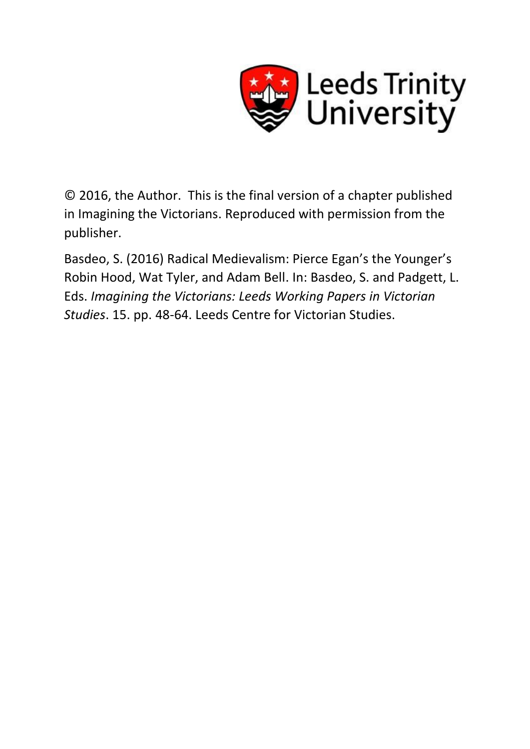

© 2016, the Author. This is the final version of a chapter published in Imagining the Victorians. Reproduced with permission from the publisher.

Basdeo, S. (2016) Radical Medievalism: Pierce Egan's the Younger's Robin Hood, Wat Tyler, and Adam Bell. In: Basdeo, S. and Padgett, L. Eds. *Imagining the Victorians: Leeds Working Papers in Victorian Studies*. 15. pp. 48-64. Leeds Centre for Victorian Studies.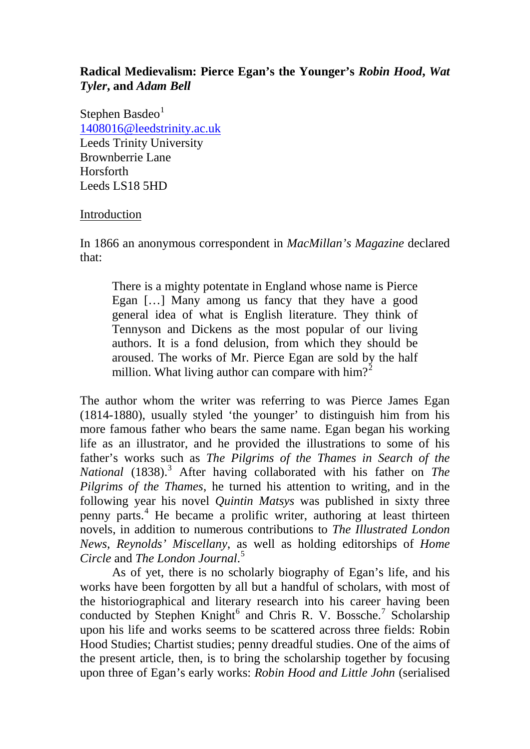# **Radical Medievalism: Pierce Egan's the Younger's** *Robin Hood***,** *Wat Tyler***, and** *Adam Bell*

Stephen Basdeo $<sup>1</sup>$  $<sup>1</sup>$  $<sup>1</sup>$ </sup> [1408016@leedstrinity.ac.uk](mailto:1408016@leedstrinity.ac.uk) Leeds Trinity University Brownberrie Lane Horsforth Leeds LS18 5HD

## Introduction

In 1866 an anonymous correspondent in *MacMillan's Magazine* declared that:

There is a mighty potentate in England whose name is Pierce Egan […] Many among us fancy that they have a good general idea of what is English literature. They think of Tennyson and Dickens as the most popular of our living authors. It is a fond delusion, from which they should be aroused. The works of Mr. Pierce Egan are sold by the half million. What living author can compare with  $\text{him?}^2$  $\text{him?}^2$ 

The author whom the writer was referring to was Pierce James Egan (1814-1880), usually styled 'the younger' to distinguish him from his more famous father who bears the same name. Egan began his working life as an illustrator, and he provided the illustrations to some of his father's works such as *The Pilgrims of the Thames in Search of the National* (1838).[3](#page-14-2) After having collaborated with his father on *The Pilgrims of the Thames*, he turned his attention to writing, and in the following year his novel *Quintin Matsys* was published in sixty three penny parts.[4](#page-14-3) He became a prolific writer, authoring at least thirteen novels, in addition to numerous contributions to *The Illustrated London News*, *Reynolds' Miscellany*, as well as holding editorships of *Home Circle* and *The London Journal*. [5](#page-14-4)

As of yet, there is no scholarly biography of Egan's life, and his works have been forgotten by all but a handful of scholars, with most of the historiographical and literary research into his career having been conducted by Stephen Knight<sup>[6](#page-14-5)</sup> and Chris R. V. Bossche.<sup>[7](#page-14-6)</sup> Scholarship upon his life and works seems to be scattered across three fields: Robin Hood Studies; Chartist studies; penny dreadful studies. One of the aims of the present article, then, is to bring the scholarship together by focusing upon three of Egan's early works: *Robin Hood and Little John* (serialised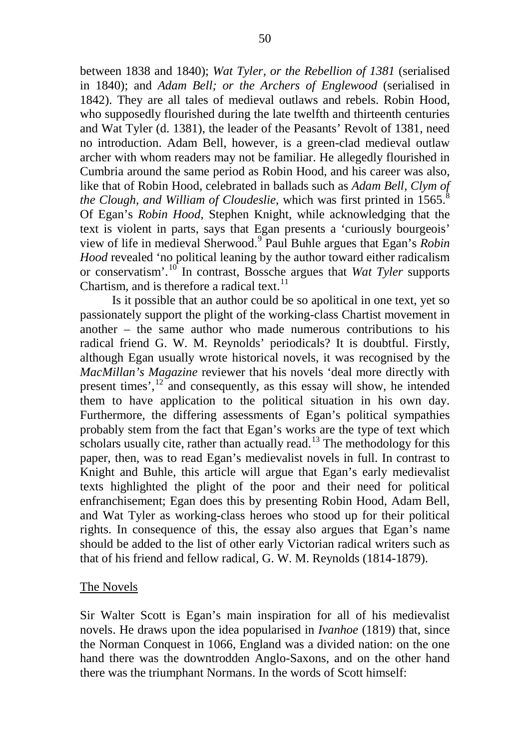between 1838 and 1840); *Wat Tyler, or the Rebellion of 1381* (serialised in 1840); and *Adam Bell; or the Archers of Englewood* (serialised in 1842). They are all tales of medieval outlaws and rebels. Robin Hood, who supposedly flourished during the late twelfth and thirteenth centuries and Wat Tyler (d. 1381), the leader of the Peasants' Revolt of 1381, need no introduction. Adam Bell, however, is a green-clad medieval outlaw archer with whom readers may not be familiar. He allegedly flourished in Cumbria around the same period as Robin Hood, and his career was also, like that of Robin Hood, celebrated in ballads such as *Adam Bell, Clym of the Clough, and William of Cloudeslie, which was first printed in 1565.*<sup>[8](#page-15-0)</sup> Of Egan's *Robin Hood*, Stephen Knight, while acknowledging that the text is violent in parts, says that Egan presents a 'curiously bourgeois' view of life in medieval Sherwood.[9](#page-15-1) Paul Buhle argues that Egan's *Robin Hood* revealed 'no political leaning by the author toward either radicalism or conservatism'.[10](#page-15-2) In contrast, Bossche argues that *Wat Tyler* supports Chartism, and is therefore a radical text. $^{11}$  $^{11}$  $^{11}$ 

Is it possible that an author could be so apolitical in one text, yet so passionately support the plight of the working-class Chartist movement in another – the same author who made numerous contributions to his radical friend G. W. M. Reynolds' periodicals? It is doubtful. Firstly, although Egan usually wrote historical novels, it was recognised by the *MacMillan's Magazine* reviewer that his novels 'deal more directly with present times',<sup>[12](#page-15-4)</sup> and consequently, as this essay will show, he intended them to have application to the political situation in his own day. Furthermore, the differing assessments of Egan's political sympathies probably stem from the fact that Egan's works are the type of text which scholars usually cite, rather than actually read.<sup>[13](#page-15-5)</sup> The methodology for this paper, then, was to read Egan's medievalist novels in full. In contrast to Knight and Buhle, this article will argue that Egan's early medievalist texts highlighted the plight of the poor and their need for political enfranchisement; Egan does this by presenting Robin Hood, Adam Bell, and Wat Tyler as working-class heroes who stood up for their political rights. In consequence of this, the essay also argues that Egan's name should be added to the list of other early Victorian radical writers such as that of his friend and fellow radical, G. W. M. Reynolds (1814-1879).

### The Novels

Sir Walter Scott is Egan's main inspiration for all of his medievalist novels. He draws upon the idea popularised in *Ivanhoe* (1819) that, since the Norman Conquest in 1066, England was a divided nation: on the one hand there was the downtrodden Anglo-Saxons, and on the other hand there was the triumphant Normans. In the words of Scott himself: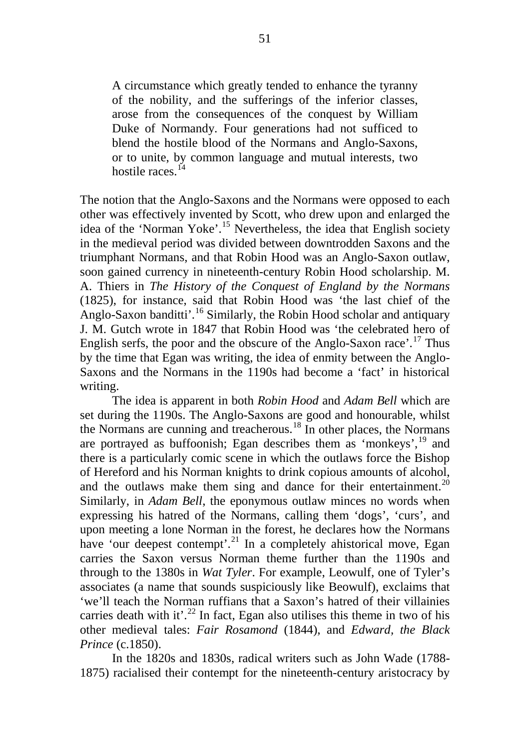A circumstance which greatly tended to enhance the tyranny of the nobility, and the sufferings of the inferior classes, arose from the consequences of the conquest by William Duke of Normandy. Four generations had not sufficed to blend the hostile blood of the Normans and Anglo-Saxons, or to unite, by common language and mutual interests, two hostile races.<sup>[14](#page-16-0)</sup>

The notion that the Anglo-Saxons and the Normans were opposed to each other was effectively invented by Scott, who drew upon and enlarged the idea of the 'Norman Yoke'.[15](#page-16-1) Nevertheless, the idea that English society in the medieval period was divided between downtrodden Saxons and the triumphant Normans, and that Robin Hood was an Anglo-Saxon outlaw, soon gained currency in nineteenth-century Robin Hood scholarship. M. A. Thiers in *The History of the Conquest of England by the Normans* (1825), for instance, said that Robin Hood was 'the last chief of the Anglo-Saxon banditti'.<sup>[16](#page-16-2)</sup> Similarly, the Robin Hood scholar and antiquary J. M. Gutch wrote in 1847 that Robin Hood was 'the celebrated hero of English serfs, the poor and the obscure of the Anglo-Saxon race'.<sup>[17](#page-16-3)</sup> Thus by the time that Egan was writing, the idea of enmity between the Anglo-Saxons and the Normans in the 1190s had become a 'fact' in historical writing.

The idea is apparent in both *Robin Hood* and *Adam Bell* which are set during the 1190s. The Anglo-Saxons are good and honourable, whilst the Normans are cunning and treacherous.<sup>[18](#page-16-4)</sup> In other places, the Normans are portrayed as buffoonish; Egan describes them as 'monkeys',<sup>[19](#page-16-5)</sup> and there is a particularly comic scene in which the outlaws force the Bishop of Hereford and his Norman knights to drink copious amounts of alcohol, and the outlaws make them sing and dance for their entertainment.<sup>[20](#page-16-6)</sup> Similarly, in *Adam Bell*, the eponymous outlaw minces no words when expressing his hatred of the Normans, calling them 'dogs', 'curs', and upon meeting a lone Norman in the forest, he declares how the Normans have 'our deepest contempt'.<sup>[21](#page-16-7)</sup> In a completely ahistorical move, Egan carries the Saxon versus Norman theme further than the 1190s and through to the 1380s in *Wat Tyler*. For example, Leowulf, one of Tyler's associates (a name that sounds suspiciously like Beowulf), exclaims that 'we'll teach the Norman ruffians that a Saxon's hatred of their villainies carries death with it'.<sup>[22](#page-16-8)</sup> In fact, Egan also utilises this theme in two of his other medieval tales: *Fair Rosamond* (1844), and *Edward, the Black Prince* (c.1850).

In the 1820s and 1830s, radical writers such as John Wade (1788- 1875) racialised their contempt for the nineteenth-century aristocracy by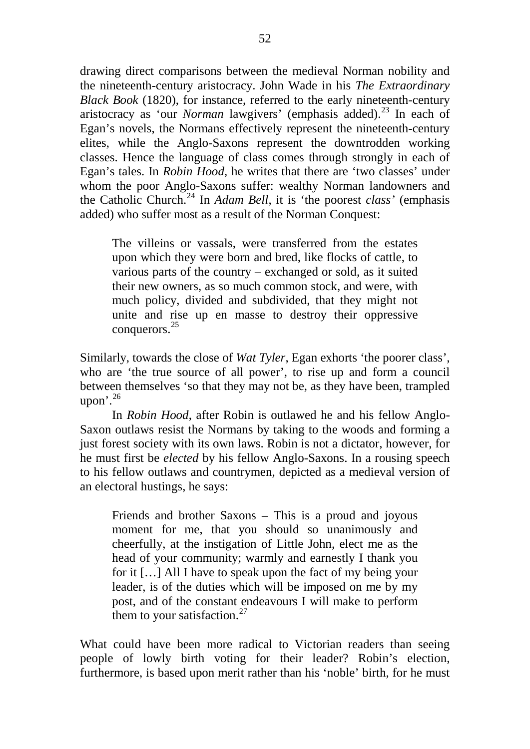drawing direct comparisons between the medieval Norman nobility and the nineteenth-century aristocracy. John Wade in his *The Extraordinary Black Book* (1820), for instance, referred to the early nineteenth-century aristocracy as 'our *Norman* lawgivers' (emphasis added).<sup>[23](#page-17-0)</sup> In each of Egan's novels, the Normans effectively represent the nineteenth-century elites, while the Anglo-Saxons represent the downtrodden working classes. Hence the language of class comes through strongly in each of Egan's tales. In *Robin Hood*, he writes that there are 'two classes' under whom the poor Anglo-Saxons suffer: wealthy Norman landowners and the Catholic Church.[24](#page-17-1) In *Adam Bell*, it is 'the poorest *class'* (emphasis added) who suffer most as a result of the Norman Conquest:

The villeins or vassals, were transferred from the estates upon which they were born and bred, like flocks of cattle, to various parts of the country – exchanged or sold, as it suited their new owners, as so much common stock, and were, with much policy, divided and subdivided, that they might not unite and rise up en masse to destroy their oppressive conquerors.[25](#page-17-2)

Similarly, towards the close of *Wat Tyler*, Egan exhorts 'the poorer class', who are 'the true source of all power', to rise up and form a council between themselves 'so that they may not be, as they have been, trampled upon'. $^{26}$  $^{26}$  $^{26}$ 

In *Robin Hood*, after Robin is outlawed he and his fellow Anglo-Saxon outlaws resist the Normans by taking to the woods and forming a just forest society with its own laws. Robin is not a dictator, however, for he must first be *elected* by his fellow Anglo-Saxons. In a rousing speech to his fellow outlaws and countrymen, depicted as a medieval version of an electoral hustings, he says:

Friends and brother Saxons – This is a proud and joyous moment for me, that you should so unanimously and cheerfully, at the instigation of Little John, elect me as the head of your community; warmly and earnestly I thank you for it […] All I have to speak upon the fact of my being your leader, is of the duties which will be imposed on me by my post, and of the constant endeavours I will make to perform them to your satisfaction.<sup>[27](#page-17-4)</sup>

What could have been more radical to Victorian readers than seeing people of lowly birth voting for their leader? Robin's election, furthermore, is based upon merit rather than his 'noble' birth, for he must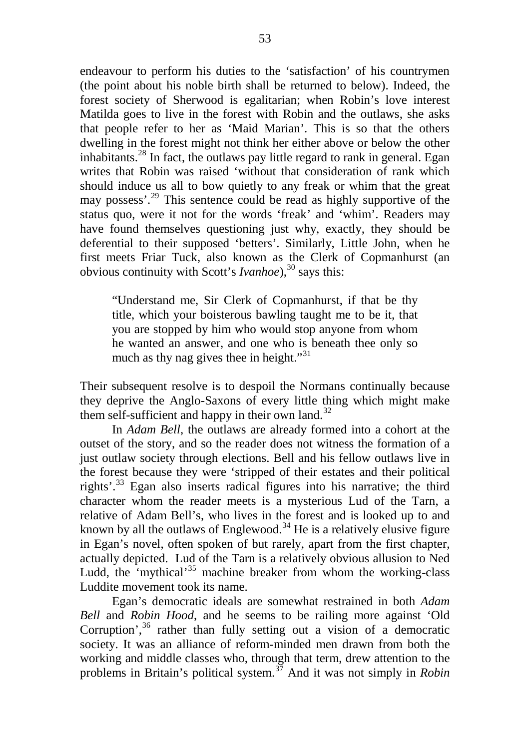endeavour to perform his duties to the 'satisfaction' of his countrymen (the point about his noble birth shall be returned to below). Indeed, the forest society of Sherwood is egalitarian; when Robin's love interest Matilda goes to live in the forest with Robin and the outlaws, she asks that people refer to her as 'Maid Marian'. This is so that the others dwelling in the forest might not think her either above or below the other inhabitants.<sup>[28](#page-17-5)</sup> In fact, the outlaws pay little regard to rank in general. Egan writes that Robin was raised 'without that consideration of rank which should induce us all to bow quietly to any freak or whim that the great may possess'.[29](#page-17-6) This sentence could be read as highly supportive of the status quo, were it not for the words 'freak' and 'whim'. Readers may have found themselves questioning just why, exactly, they should be deferential to their supposed 'betters'. Similarly, Little John, when he first meets Friar Tuck, also known as the Clerk of Copmanhurst (an obvious continuity with Scott's *Ivanhoe*),<sup>[30](#page-17-7)</sup> says this:

"Understand me, Sir Clerk of Copmanhurst, if that be thy title, which your boisterous bawling taught me to be it, that you are stopped by him who would stop anyone from whom he wanted an answer, and one who is beneath thee only so much as thy nag gives thee in height."<sup>[31](#page-17-8)</sup>

Their subsequent resolve is to despoil the Normans continually because they deprive the Anglo-Saxons of every little thing which might make them self-sufficient and happy in their own land.<sup>[32](#page-17-9)</sup>

In *Adam Bell*, the outlaws are already formed into a cohort at the outset of the story, and so the reader does not witness the formation of a just outlaw society through elections. Bell and his fellow outlaws live in the forest because they were 'stripped of their estates and their political rights'.<sup>[33](#page-17-10)</sup> Egan also inserts radical figures into his narrative; the third character whom the reader meets is a mysterious Lud of the Tarn, a relative of Adam Bell's, who lives in the forest and is looked up to and known by all the outlaws of Englewood.<sup>[34](#page-17-11)</sup> He is a relatively elusive figure in Egan's novel, often spoken of but rarely, apart from the first chapter, actually depicted. Lud of the Tarn is a relatively obvious allusion to Ned Ludd, the 'mythical'<sup>[35](#page-17-12)</sup> machine breaker from whom the working-class Luddite movement took its name.

Egan's democratic ideals are somewhat restrained in both *Adam Bell* and *Robin Hood*, and he seems to be railing more against 'Old Corruption',  $36$  rather than fully setting out a vision of a democratic society. It was an alliance of reform-minded men drawn from both the working and middle classes who, through that term, drew attention to the problems in Britain's political system.[37](#page-17-14) And it was not simply in *Robin*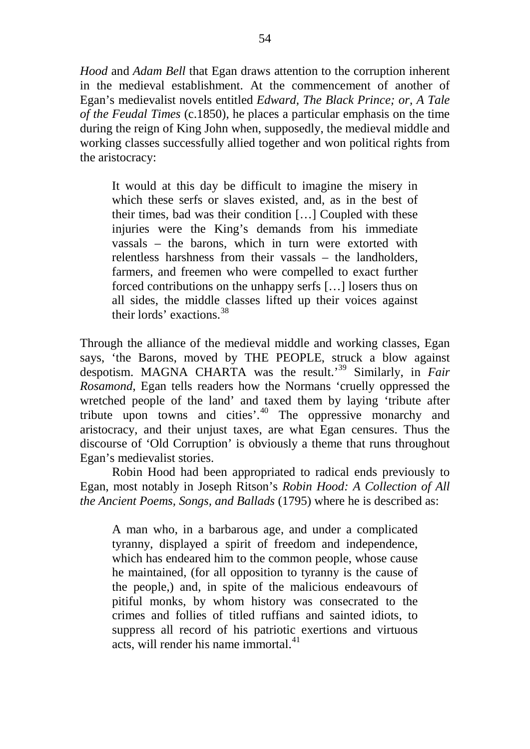*Hood* and *Adam Bell* that Egan draws attention to the corruption inherent in the medieval establishment. At the commencement of another of Egan's medievalist novels entitled *Edward, The Black Prince; or, A Tale of the Feudal Times* (c.1850), he places a particular emphasis on the time during the reign of King John when, supposedly, the medieval middle and working classes successfully allied together and won political rights from the aristocracy:

It would at this day be difficult to imagine the misery in which these serfs or slaves existed, and, as in the best of their times, bad was their condition […] Coupled with these injuries were the King's demands from his immediate vassals – the barons, which in turn were extorted with relentless harshness from their vassals – the landholders, farmers, and freemen who were compelled to exact further forced contributions on the unhappy serfs […] losers thus on all sides, the middle classes lifted up their voices against their lords' exactions.[38](#page-17-15)

Through the alliance of the medieval middle and working classes, Egan says, 'the Barons, moved by THE PEOPLE, struck a blow against despotism. MAGNA CHARTA was the result.'[39](#page-17-16) Similarly, in *Fair Rosamond*, Egan tells readers how the Normans 'cruelly oppressed the wretched people of the land' and taxed them by laying 'tribute after tribute upon towns and cities'.[40](#page-17-17) The oppressive monarchy and aristocracy, and their unjust taxes, are what Egan censures. Thus the discourse of 'Old Corruption' is obviously a theme that runs throughout Egan's medievalist stories.

Robin Hood had been appropriated to radical ends previously to Egan, most notably in Joseph Ritson's *Robin Hood: A Collection of All the Ancient Poems, Songs, and Ballads* (1795) where he is described as:

A man who, in a barbarous age, and under a complicated tyranny, displayed a spirit of freedom and independence, which has endeared him to the common people, whose cause he maintained, (for all opposition to tyranny is the cause of the people,) and, in spite of the malicious endeavours of pitiful monks, by whom history was consecrated to the crimes and follies of titled ruffians and sainted idiots, to suppress all record of his patriotic exertions and virtuous acts, will render his name immortal.<sup>[41](#page-17-18)</sup>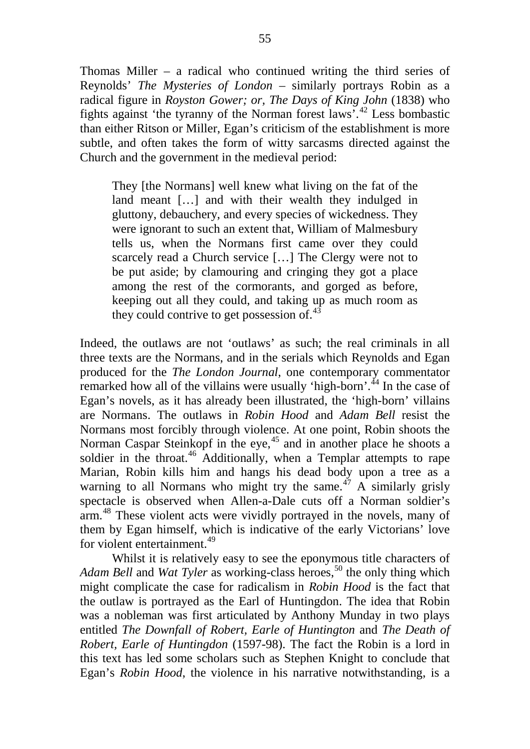Thomas Miller – a radical who continued writing the third series of Reynolds' *The Mysteries of London* – similarly portrays Robin as a radical figure in *Royston Gower; or, The Days of King John* (1838) who fights against 'the tyranny of the Norman forest laws'.[42](#page-17-19) Less bombastic than either Ritson or Miller, Egan's criticism of the establishment is more subtle, and often takes the form of witty sarcasms directed against the Church and the government in the medieval period:

They [the Normans] well knew what living on the fat of the land meant […] and with their wealth they indulged in gluttony, debauchery, and every species of wickedness. They were ignorant to such an extent that, William of Malmesbury tells us, when the Normans first came over they could scarcely read a Church service […] The Clergy were not to be put aside; by clamouring and cringing they got a place among the rest of the cormorants, and gorged as before, keeping out all they could, and taking up as much room as they could contrive to get possession of. $43$ 

Indeed, the outlaws are not 'outlaws' as such; the real criminals in all three texts are the Normans, and in the serials which Reynolds and Egan produced for the *The London Journal*, one contemporary commentator remarked how all of the villains were usually 'high-born'.<sup>[44](#page-17-21)</sup> In the case of Egan's novels, as it has already been illustrated, the 'high-born' villains are Normans. The outlaws in *Robin Hood* and *Adam Bell* resist the Normans most forcibly through violence. At one point, Robin shoots the Norman Caspar Steinkopf in the eye,  $45$  and in another place he shoots a soldier in the throat.<sup>[46](#page-17-23)</sup> Additionally, when a Templar attempts to rape Marian, Robin kills him and hangs his dead body upon a tree as a warning to all Normans who might try the same.<sup>[47](#page-17-24)</sup> A similarly grisly spectacle is observed when Allen-a-Dale cuts off a Norman soldier's arm.[48](#page-17-25) These violent acts were vividly portrayed in the novels, many of them by Egan himself, which is indicative of the early Victorians' love for violent entertainment.<sup>[49](#page-17-0)</sup>

Whilst it is relatively easy to see the eponymous title characters of *Adam Bell* and *Wat Tyler* as working-class heroes,<sup>[50](#page-17-26)</sup> the only thing which might complicate the case for radicalism in *Robin Hood* is the fact that the outlaw is portrayed as the Earl of Huntingdon. The idea that Robin was a nobleman was first articulated by Anthony Munday in two plays entitled *The Downfall of Robert, Earle of Huntington* and *The Death of Robert, Earle of Huntingdon* (1597-98). The fact the Robin is a lord in this text has led some scholars such as Stephen Knight to conclude that Egan's *Robin Hood*, the violence in his narrative notwithstanding, is a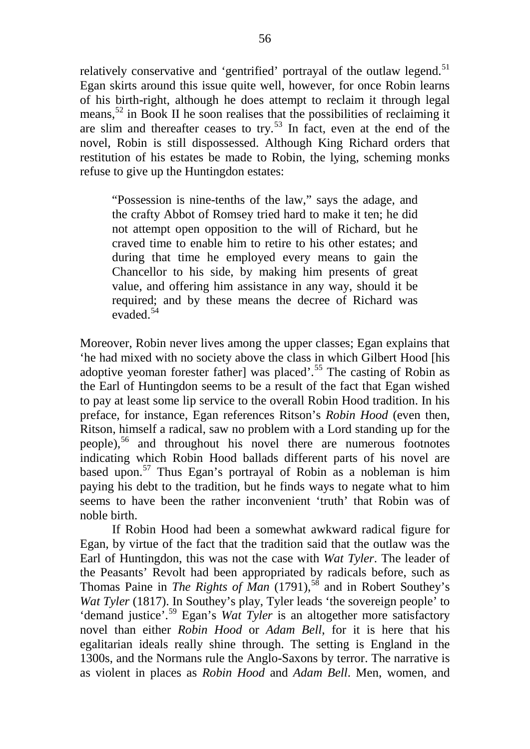relatively conservative and 'gentrified' portrayal of the outlaw legend.<sup>[51](#page-17-27)</sup> Egan skirts around this issue quite well, however, for once Robin learns of his birth-right, although he does attempt to reclaim it through legal means,<sup>[52](#page-17-28)</sup> in Book II he soon realises that the possibilities of reclaiming it are slim and thereafter ceases to try.<sup>[53](#page-17-29)</sup> In fact, even at the end of the novel, Robin is still dispossessed. Although King Richard orders that restitution of his estates be made to Robin, the lying, scheming monks refuse to give up the Huntingdon estates:

"Possession is nine-tenths of the law," says the adage, and the crafty Abbot of Romsey tried hard to make it ten; he did not attempt open opposition to the will of Richard, but he craved time to enable him to retire to his other estates; and during that time he employed every means to gain the Chancellor to his side, by making him presents of great value, and offering him assistance in any way, should it be required; and by these means the decree of Richard was evaded.[54](#page-17-30)

Moreover, Robin never lives among the upper classes; Egan explains that 'he had mixed with no society above the class in which Gilbert Hood [his adoptive yeoman forester father] was placed'.[55](#page-17-31) The casting of Robin as the Earl of Huntingdon seems to be a result of the fact that Egan wished to pay at least some lip service to the overall Robin Hood tradition. In his preface, for instance, Egan references Ritson's *Robin Hood* (even then, Ritson, himself a radical, saw no problem with a Lord standing up for the people),[56](#page-17-1) and throughout his novel there are numerous footnotes indicating which Robin Hood ballads different parts of his novel are based upon.[57](#page-17-2) Thus Egan's portrayal of Robin as a nobleman is him paying his debt to the tradition, but he finds ways to negate what to him seems to have been the rather inconvenient 'truth' that Robin was of noble birth.

If Robin Hood had been a somewhat awkward radical figure for Egan, by virtue of the fact that the tradition said that the outlaw was the Earl of Huntingdon, this was not the case with *Wat Tyler*. The leader of the Peasants' Revolt had been appropriated by radicals before, such as Thomas Paine in *The Rights of Man* (1791),<sup>[58](#page-17-3)</sup> and in Robert Southey's *Wat Tyler* (1817). In Southey's play, Tyler leads 'the sovereign people' to 'demand justice'.[59](#page-17-5) Egan's *Wat Tyler* is an altogether more satisfactory novel than either *Robin Hood* or *Adam Bell*, for it is here that his egalitarian ideals really shine through. The setting is England in the 1300s, and the Normans rule the Anglo-Saxons by terror. The narrative is as violent in places as *Robin Hood* and *Adam Bell*. Men, women, and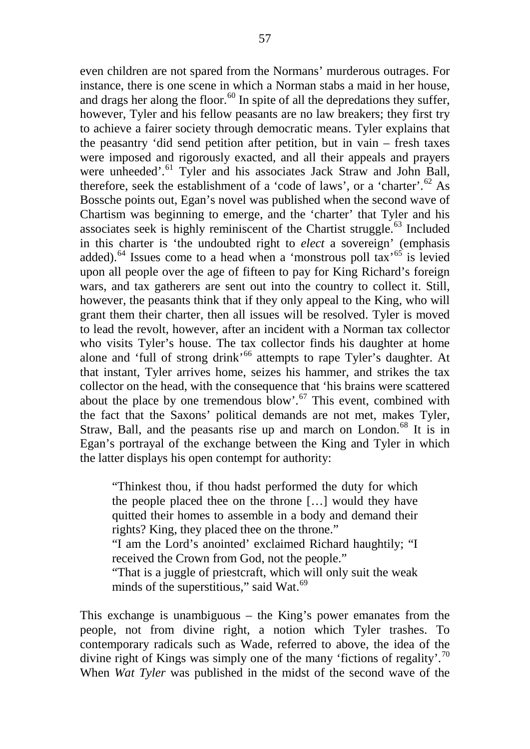even children are not spared from the Normans' murderous outrages. For instance, there is one scene in which a Norman stabs a maid in her house, and drags her along the floor.<sup>[60](#page-17-9)</sup> In spite of all the depredations they suffer, however, Tyler and his fellow peasants are no law breakers; they first try to achieve a fairer society through democratic means. Tyler explains that the peasantry 'did send petition after petition, but in vain – fresh taxes were imposed and rigorously exacted, and all their appeals and prayers were unheeded'.<sup>[61](#page-17-10)</sup> Tyler and his associates Jack Straw and John Ball, therefore, seek the establishment of a 'code of laws', or a 'charter'.<sup>[62](#page-17-11)</sup> As Bossche points out, Egan's novel was published when the second wave of Chartism was beginning to emerge, and the 'charter' that Tyler and his associates seek is highly reminiscent of the Chartist struggle. $63$  Included in this charter is 'the undoubted right to *elect* a sovereign' (emphasis added).<sup>[64](#page-17-32)</sup> Issues come to a head when a 'monstrous poll tax'<sup>[65](#page-17-33)</sup> is levied upon all people over the age of fifteen to pay for King Richard's foreign wars, and tax gatherers are sent out into the country to collect it. Still, however, the peasants think that if they only appeal to the King, who will grant them their charter, then all issues will be resolved. Tyler is moved to lead the revolt, however, after an incident with a Norman tax collector who visits Tyler's house. The tax collector finds his daughter at home alone and 'full of strong drink'<sup>[66](#page-17-13)</sup> attempts to rape Tyler's daughter. At that instant, Tyler arrives home, seizes his hammer, and strikes the tax collector on the head, with the consequence that 'his brains were scattered about the place by one tremendous blow'.<sup>[67](#page-17-34)</sup> This event, combined with the fact that the Saxons' political demands are not met, makes Tyler, Straw, Ball, and the peasants rise up and march on London.<sup>[68](#page-17-35)</sup> It is in Egan's portrayal of the exchange between the King and Tyler in which the latter displays his open contempt for authority:

"Thinkest thou, if thou hadst performed the duty for which the people placed thee on the throne […] would they have quitted their homes to assemble in a body and demand their rights? King, they placed thee on the throne."

"I am the Lord's anointed' exclaimed Richard haughtily; "I received the Crown from God, not the people."

"That is a juggle of priestcraft, which will only suit the weak minds of the superstitious," said Wat. $^{69}$  $^{69}$  $^{69}$ 

This exchange is unambiguous – the King's power emanates from the people, not from divine right, a notion which Tyler trashes. To contemporary radicals such as Wade, referred to above, the idea of the divine right of Kings was simply one of the many 'fictions of regality'.<sup>[70](#page-17-16)</sup> When *Wat Tyler* was published in the midst of the second wave of the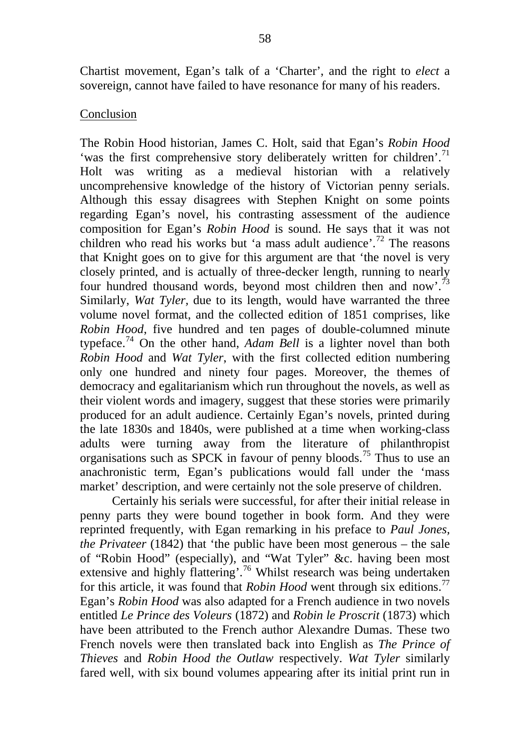Chartist movement, Egan's talk of a 'Charter', and the right to *elect* a sovereign, cannot have failed to have resonance for many of his readers.

### Conclusion

The Robin Hood historian, James C. Holt, said that Egan's *Robin Hood* 'was the first comprehensive story deliberately written for children'.<sup>[71](#page-17-17)</sup> Holt was writing as a medieval historian with a relatively uncomprehensive knowledge of the history of Victorian penny serials. Although this essay disagrees with Stephen Knight on some points regarding Egan's novel, his contrasting assessment of the audience composition for Egan's *Robin Hood* is sound. He says that it was not children who read his works but 'a mass adult audience'.[72](#page-17-37) The reasons that Knight goes on to give for this argument are that 'the novel is very closely printed, and is actually of three-decker length, running to nearly four hundred thousand words, beyond most children then and now'.<sup>[73](#page-17-18)</sup> Similarly, *Wat Tyler,* due to its length, would have warranted the three volume novel format, and the collected edition of 1851 comprises, like *Robin Hood*, five hundred and ten pages of double-columned minute typeface.[74](#page-17-38) On the other hand, *Adam Bell* is a lighter novel than both *Robin Hood* and *Wat Tyler*, with the first collected edition numbering only one hundred and ninety four pages. Moreover, the themes of democracy and egalitarianism which run throughout the novels, as well as their violent words and imagery, suggest that these stories were primarily produced for an adult audience. Certainly Egan's novels, printed during the late 1830s and 1840s, were published at a time when working-class adults were turning away from the literature of philanthropist organisations such as SPCK in favour of penny bloods.[75](#page-17-19) Thus to use an anachronistic term, Egan's publications would fall under the 'mass market' description, and were certainly not the sole preserve of children.

Certainly his serials were successful, for after their initial release in penny parts they were bound together in book form. And they were reprinted frequently, with Egan remarking in his preface to *Paul Jones, the Privateer* (1842) that 'the public have been most generous – the sale of "Robin Hood" (especially), and "Wat Tyler" &c. having been most extensive and highly flattering'.<sup>[76](#page-17-39)</sup> Whilst research was being undertaken for this article, it was found that *Robin Hood* went through six editions.[77](#page-17-20) Egan's *Robin Hood* was also adapted for a French audience in two novels entitled *Le Prince des Voleurs* (1872) and *Robin le Proscrit* (1873) which have been attributed to the French author Alexandre Dumas. These two French novels were then translated back into English as *The Prince of Thieves* and *Robin Hood the Outlaw* respectively. *Wat Tyler* similarly fared well, with six bound volumes appearing after its initial print run in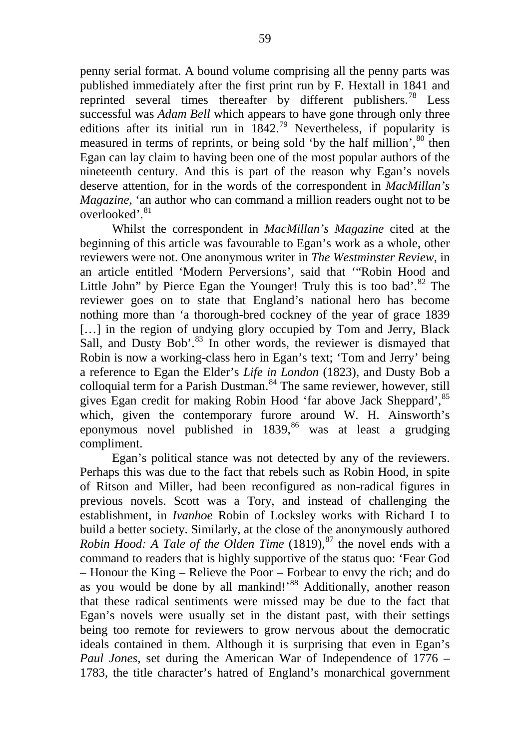penny serial format. A bound volume comprising all the penny parts was published immediately after the first print run by F. Hextall in 1841 and reprinted several times thereafter by different publishers.<sup>[78](#page-17-22)</sup> Less successful was *Adam Bell* which appears to have gone through only three editions after its initial run in  $1842.^{79}$  $1842.^{79}$  $1842.^{79}$  Nevertheless, if popularity is measured in terms of reprints, or being sold 'by the half million', <sup>[80](#page-17-0)</sup> then Egan can lay claim to having been one of the most popular authors of the nineteenth century. And this is part of the reason why Egan's novels deserve attention, for in the words of the correspondent in *MacMillan's Magazine*, 'an author who can command a million readers ought not to be overlooked'.<sup>[81](#page-17-40)</sup>

Whilst the correspondent in *MacMillan's Magazine* cited at the beginning of this article was favourable to Egan's work as a whole, other reviewers were not. One anonymous writer in *The Westminster Review*, in an article entitled 'Modern Perversions', said that '"Robin Hood and Little John" by Pierce Egan the Younger! Truly this is too bad'. $82$  The reviewer goes on to state that England's national hero has become nothing more than 'a thorough-bred cockney of the year of grace 1839 [...] in the region of undying glory occupied by Tom and Jerry, Black Sall, and Dusty Bob'.<sup>[83](#page-17-41)</sup> In other words, the reviewer is dismayed that Robin is now a working-class hero in Egan's text; 'Tom and Jerry' being a reference to Egan the Elder's *Life in London* (1823), and Dusty Bob a colloquial term for a Parish Dustman. $84$  The same reviewer, however, still gives Egan credit for making Robin Hood 'far above Jack Sheppard',[85](#page-17-28) which, given the contemporary furore around W. H. Ainsworth's eponymous novel published in  $1839$ ,<sup>[86](#page-17-29)</sup> was at least a grudging compliment.

Egan's political stance was not detected by any of the reviewers. Perhaps this was due to the fact that rebels such as Robin Hood, in spite of Ritson and Miller, had been reconfigured as non-radical figures in previous novels. Scott was a Tory, and instead of challenging the establishment, in *Ivanhoe* Robin of Locksley works with Richard I to build a better society. Similarly, at the close of the anonymously authored *Robin Hood: A Tale of the Olden Time* (1819),<sup>[87](#page-17-31)</sup> the novel ends with a command to readers that is highly supportive of the status quo: 'Fear God – Honour the King – Relieve the Poor – Forbear to envy the rich; and do as you would be done by all mankind!'<sup>[88](#page-17-3)</sup> Additionally, another reason that these radical sentiments were missed may be due to the fact that Egan's novels were usually set in the distant past, with their settings being too remote for reviewers to grow nervous about the democratic ideals contained in them. Although it is surprising that even in Egan's *Paul Jones*, set during the American War of Independence of 1776 – 1783, the title character's hatred of England's monarchical government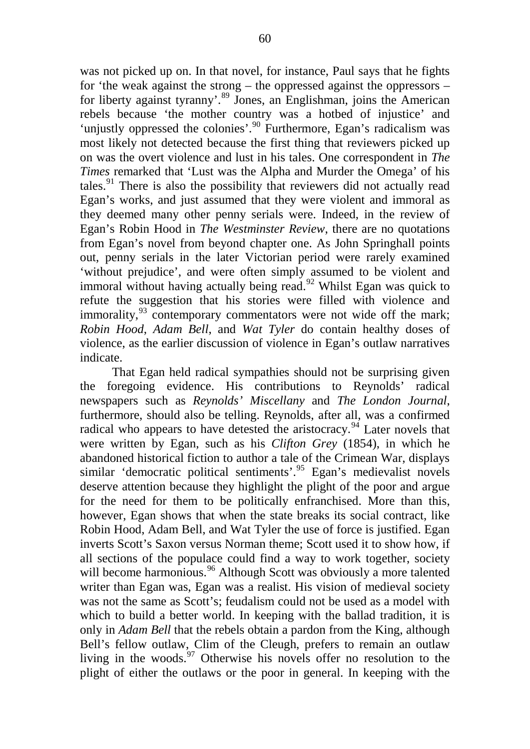was not picked up on. In that novel, for instance, Paul says that he fights for 'the weak against the strong – the oppressed against the oppressors – for liberty against tyranny'.<sup>[89](#page-17-5)</sup> Jones, an Englishman, joins the American rebels because 'the mother country was a hotbed of injustice' and 'unjustly oppressed the colonies'.<sup>[90](#page-17-6)</sup> Furthermore, Egan's radicalism was most likely not detected because the first thing that reviewers picked up on was the overt violence and lust in his tales. One correspondent in *The Times* remarked that 'Lust was the Alpha and Murder the Omega' of his tales. $91$  There is also the possibility that reviewers did not actually read Egan's works, and just assumed that they were violent and immoral as they deemed many other penny serials were. Indeed, in the review of Egan's Robin Hood in *The Westminster Review*, there are no quotations from Egan's novel from beyond chapter one. As John Springhall points out, penny serials in the later Victorian period were rarely examined 'without prejudice', and were often simply assumed to be violent and immoral without having actually being read.<sup>[92](#page-17-43)</sup> Whilst Egan was quick to refute the suggestion that his stories were filled with violence and immorality, $^{93}$  $^{93}$  $^{93}$  contemporary commentators were not wide off the mark; *Robin Hood*, *Adam Bell*, and *Wat Tyler* do contain healthy doses of violence, as the earlier discussion of violence in Egan's outlaw narratives indicate.

That Egan held radical sympathies should not be surprising given the foregoing evidence. His contributions to Reynolds' radical newspapers such as *Reynolds' Miscellany* and *The London Journal*, furthermore, should also be telling. Reynolds, after all, was a confirmed radical who appears to have detested the aristocracy.<sup>[94](#page-17-11)</sup> Later novels that were written by Egan, such as his *Clifton Grey* (1854), in which he abandoned historical fiction to author a tale of the Crimean War, displays similar 'democratic political sentiments'.<sup>[95](#page-17-16)</sup> Egan's medievalist novels deserve attention because they highlight the plight of the poor and argue for the need for them to be politically enfranchised. More than this, however, Egan shows that when the state breaks its social contract, like Robin Hood, Adam Bell, and Wat Tyler the use of force is justified. Egan inverts Scott's Saxon versus Norman theme; Scott used it to show how, if all sections of the populace could find a way to work together, society will become harmonious.<sup>[96](#page-17-37)</sup> Although Scott was obviously a more talented writer than Egan was, Egan was a realist. His vision of medieval society was not the same as Scott's; feudalism could not be used as a model with which to build a better world. In keeping with the ballad tradition, it is only in *Adam Bell* that the rebels obtain a pardon from the King, although Bell's fellow outlaw, Clim of the Cleugh, prefers to remain an outlaw living in the woods. $97$  Otherwise his novels offer no resolution to the plight of either the outlaws or the poor in general. In keeping with the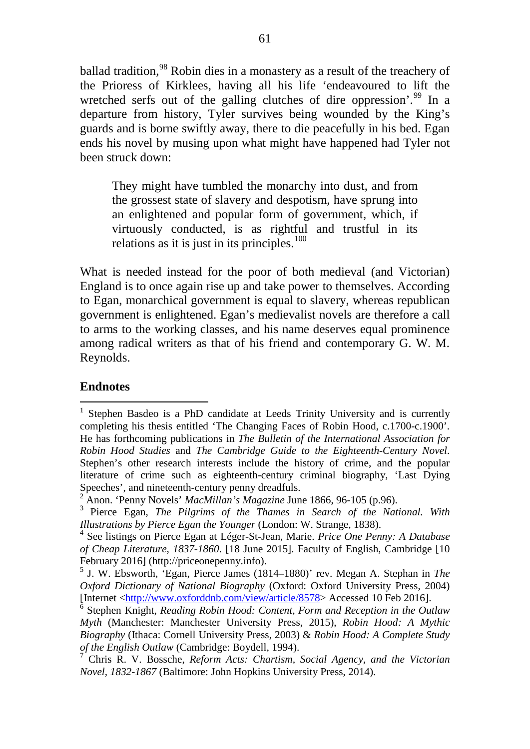ballad tradition,<sup>[98](#page-17-19)</sup> Robin dies in a monastery as a result of the treachery of the Prioress of Kirklees, having all his life 'endeavoured to lift the wretched serfs out of the galling clutches of dire oppression'.<sup>[99](#page-17-20)</sup> In a departure from history, Tyler survives being wounded by the King's guards and is borne swiftly away, there to die peacefully in his bed. Egan ends his novel by musing upon what might have happened had Tyler not been struck down:

They might have tumbled the monarchy into dust, and from the grossest state of slavery and despotism, have sprung into an enlightened and popular form of government, which, if virtuously conducted, is as rightful and trustful in its relations as it is just in its principles. $100$ 

What is needed instead for the poor of both medieval (and Victorian) England is to once again rise up and take power to themselves. According to Egan, monarchical government is equal to slavery, whereas republican government is enlightened. Egan's medievalist novels are therefore a call to arms to the working classes, and his name deserves equal prominence among radical writers as that of his friend and contemporary G. W. M. Reynolds.

#### **Endnotes**

<sup>&</sup>lt;sup>1</sup> Stephen Basdeo is a PhD candidate at Leeds Trinity University and is currently completing his thesis entitled 'The Changing Faces of Robin Hood, c.1700-c.1900'. He has forthcoming publications in *The Bulletin of the International Association for Robin Hood Studies* and *The Cambridge Guide to the Eighteenth-Century Novel*. Stephen's other research interests include the history of crime, and the popular literature of crime such as eighteenth-century criminal biography, 'Last Dying Speeches', and nineteenth-century penny dreadfuls.

<sup>2</sup> Anon. 'Penny Novels' *MacMillan's Magazine* June 1866, 96-105 (p.96).

<sup>3</sup> Pierce Egan, *The Pilgrims of the Thames in Search of the National. With Illustrations by Pierce Egan the Younger* (London: W. Strange, 1838).

<sup>4</sup> See listings on Pierce Egan at Léger-St-Jean, Marie. *Price One Penny: A Database of Cheap Literature, 1837-1860*. [18 June 2015]. Faculty of English, Cambridge [10 February 2016] (http://priceonepenny.info).

<sup>5</sup> J. W. Ebsworth, 'Egan, Pierce James (1814–1880)' rev. Megan A. Stephan in *The Oxford Dictionary of National Biography* (Oxford: Oxford University Press, 2004) [Internet [<http://www.oxforddnb.com/view/article/8578>](http://www.oxforddnb.com/view/article/8578) Accessed 10 Feb 2016].

<sup>6</sup> Stephen Knight, *Reading Robin Hood: Content, Form and Reception in the Outlaw Myth* (Manchester: Manchester University Press, 2015), *Robin Hood: A Mythic Biography* (Ithaca: Cornell University Press, 2003) & *Robin Hood: A Complete Study of the English Outlaw* (Cambridge: Boydell, 1994).

<sup>7</sup> Chris R. V. Bossche, *Reform Acts: Chartism, Social Agency, and the Victorian Novel, 1832-1867* (Baltimore: John Hopkins University Press, 2014).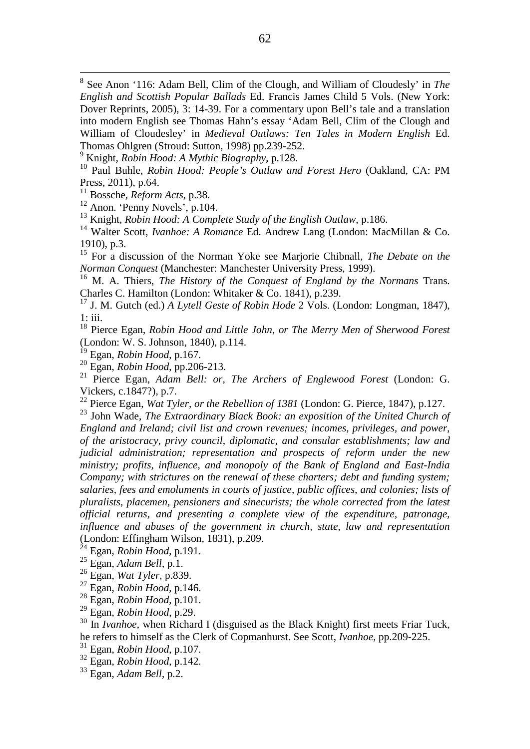8 See Anon '116: Adam Bell, Clim of the Clough, and William of Cloudesly' in *The English and Scottish Popular Ballads* Ed. Francis James Child 5 Vols. (New York: Dover Reprints, 2005), 3: 14-39. For a commentary upon Bell's tale and a translation into modern English see Thomas Hahn's essay 'Adam Bell, Clim of the Clough and William of Cloudesley' in *Medieval Outlaws: Ten Tales in Modern English* Ed. Thomas Ohlgren (Stroud: Sutton, 1998) pp.239-252.

<sup>9</sup> Knight, *Robin Hood: A Mythic Biography*, p.128.

<sup>10</sup> Paul Buhle, *Robin Hood: People's Outlaw and Forest Hero* (Oakland, CA: PM Press, 2011), p.64.

<sup>11</sup> Bossche, *Reform Acts*, p.38.

<sup>12</sup> Anon. 'Penny Novels', p.104.

<sup>13</sup> Knight, *Robin Hood: A Complete Study of the English Outlaw*, p.186.

<sup>14</sup> Walter Scott, *Ivanhoe: A Romance* Ed. Andrew Lang (London: MacMillan & Co. 1910), p.3.

<sup>15</sup> For a discussion of the Norman Yoke see Marjorie Chibnall, *The Debate on the Norman Conquest* (Manchester: Manchester University Press, 1999).

<sup>16</sup> M. A. Thiers, *The History of the Conquest of England by the Normans* Trans. Charles C. Hamilton (London: Whitaker & Co. 1841), p.239.

<sup>17</sup> J. M. Gutch (ed.) *A Lytell Geste of Robin Hode* 2 Vols. (London: Longman, 1847), 1: iii.

<sup>18</sup> Pierce Egan, *Robin Hood and Little John, or The Merry Men of Sherwood Forest* (London: W. S. Johnson, 1840), p.114.

<sup>19</sup> Egan, *Robin Hood*, p.167.

<sup>20</sup> Egan, *Robin Hood*, pp.206-213.

<sup>21</sup> Pierce Egan, *Adam Bell: or, The Archers of Englewood Forest* (London: G. Vickers, c.1847?), p.7.

<sup>22</sup> Pierce Egan, *Wat Tyler, or the Rebellion of 1381* (London: G. Pierce, 1847), p.127.

<span id="page-14-0"></span><sup>23</sup> John Wade, *The Extraordinary Black Book: an exposition of the United Church of England and Ireland; civil list and crown revenues; incomes, privileges, and power, of the aristocracy, privy council, diplomatic, and consular establishments; law and judicial administration; representation and prospects of reform under the new ministry; profits, influence, and monopoly of the Bank of England and East-India Company; with strictures on the renewal of these charters; debt and funding system; salaries, fees and emoluments in courts of justice, public offices, and colonies; lists of pluralists, placemen, pensioners and sinecurists; the whole corrected from the latest official returns, and presenting a complete view of the expenditure, patronage, influence and abuses of the government in church, state, law and representation* (London: Effingham Wilson, 1831), p.209.

<span id="page-14-3"></span><span id="page-14-2"></span><span id="page-14-1"></span><sup>24</sup> Egan, *Robin Hood*, p.191.

<sup>25</sup> Egan, *Adam Bell*, p.1.

<span id="page-14-4"></span><sup>26</sup> Egan, *Wat Tyler*, p.839.

<sup>27</sup> Egan, *Robin Hood*, p.146.

<sup>28</sup> Egan, *Robin Hood*, p.101.

<span id="page-14-5"></span><sup>29</sup> Egan, *Robin Hood*, p.29.

<sup>30</sup> In *Ivanhoe*, when Richard I (disguised as the Black Knight) first meets Friar Tuck, he refers to himself as the Clerk of Copmanhurst. See Scott, *Ivanhoe*, pp.209-225.

<sup>31</sup> Egan, *Robin Hood*, p.107.

<span id="page-14-6"></span><sup>32</sup> Egan, *Robin Hood*, p.142.

<sup>33</sup> Egan, *Adam Bell*, p.2.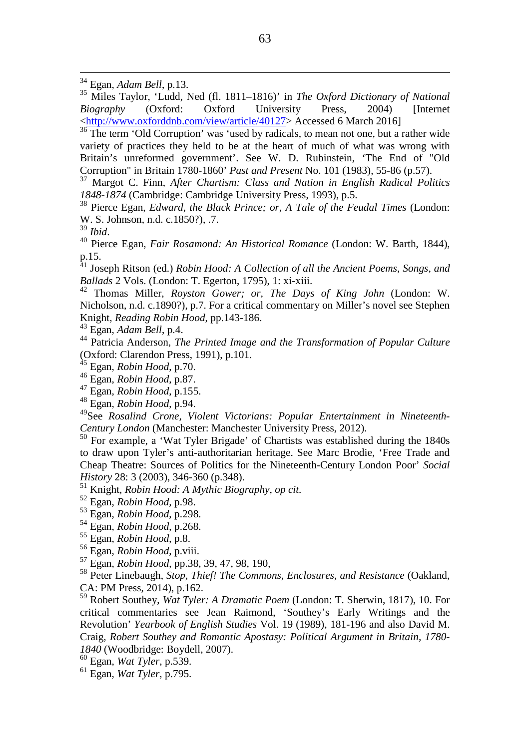<sup>36</sup> The term 'Old Corruption' was 'used by radicals, to mean not one, but a rather wide variety of practices they held to be at the heart of much of what was wrong with Britain's unreformed government'. See W. D. Rubinstein, 'The End of "Old Corruption" in Britain 1780-1860' *Past and Present* No. 101 (1983), 55-86 (p.57).

<span id="page-15-2"></span><span id="page-15-1"></span><sup>37</sup> Margot C. Finn, *After Chartism: Class and Nation in English Radical Politics 1848-1874* (Cambridge: Cambridge University Press, 1993), p.5.

<span id="page-15-5"></span><span id="page-15-4"></span><span id="page-15-3"></span><sup>38</sup> Pierce Egan, *Edward, the Black Prince; or, A Tale of the Feudal Times* (London: W. S. Johnson, n.d. c.1850?), .7.<br><sup>39</sup> Ibid.

<sup>39</sup> *Ibid*. <sup>40</sup> Pierce Egan, *Fair Rosamond: An Historical Romance* (London: W. Barth, 1844), p.15.

<sup>41</sup> Joseph Ritson (ed.) *Robin Hood: A Collection of all the Ancient Poems, Songs, and Ballads* 2 Vols. (London: T. Egerton, 1795), 1: xi-xiii.

<sup>42</sup> Thomas Miller, *Royston Gower; or, The Days of King John* (London: W. Nicholson, n.d. c.1890?), p.7. For a critical commentary on Miller's novel see Stephen Knight, *Reading Robin Hood*, pp.143-186.

<sup>43</sup> Egan, *Adam Bell*, p.4.

<sup>44</sup> Patricia Anderson, *The Printed Image and the Transformation of Popular Culture* (Oxford: Clarendon Press, 1991), p.101.

<sup>45</sup> Egan, *Robin Hood*, p.70.

<sup>46</sup> Egan, *Robin Hood*, p.87.

<sup>47</sup> Egan, *Robin Hood*, p.155.

<sup>48</sup> Egan, *Robin Hood*, p.94.

49See *Rosalind Crone, Violent Victorians: Popular Entertainment in Nineteenth-Century London* (Manchester: Manchester University Press, 2012).

<sup>50</sup> For example, a 'Wat Tyler Brigade' of Chartists was established during the 1840s to draw upon Tyler's anti-authoritarian heritage. See Marc Brodie, 'Free Trade and Cheap Theatre: Sources of Politics for the Nineteenth-Century London Poor' *Social History* 28: 3 (2003), 346-360 (p.348).

<sup>51</sup> Knight, *Robin Hood: A Mythic Biography*, *op cit.*

- <sup>52</sup> Egan, *Robin Hood,* p.98.
- <sup>53</sup> Egan, *Robin Hood*, p.298.

<sup>54</sup> Egan, *Robin Hood*, p.268.

- <sup>55</sup> Egan, *Robin Hood*, p.8.
- <sup>56</sup> Egan, *Robin Hood*, p.viii.
- <sup>57</sup> Egan, *Robin Hood*, pp.38, 39, 47, 98, 190,

<sup>58</sup> Peter Linebaugh, *Stop, Thief! The Commons, Enclosures, and Resistance* (Oakland, CA: PM Press, 2014), p.162.

<sup>59</sup> Robert Southey, *Wat Tyler: A Dramatic Poem* (London: T. Sherwin, 1817), 10. For critical commentaries see Jean Raimond, 'Southey's Early Writings and the Revolution' *Yearbook of English Studies* Vol. 19 (1989), 181-196 and also David M. Craig, *Robert Southey and Romantic Apostasy: Political Argument in Britain, 1780- 1840* (Woodbridge: Boydell, 2007).

<sup>61</sup> Egan, *Wat Tyler*, p.795.

 <sup>34</sup> Egan, *Adam Bell*, p.13.

<span id="page-15-0"></span><sup>35</sup> Miles Taylor, 'Ludd, Ned (fl. 1811–1816)' in *The Oxford Dictionary of National Biography* (Oxford: Oxford University Press, 2004) [Internet [<http://www.oxforddnb.com/view/article/40127>](http://www.oxforddnb.com/view/article/40127) Accessed 6 March 2016]

<sup>60</sup> Egan, *Wat Tyler*, p.539.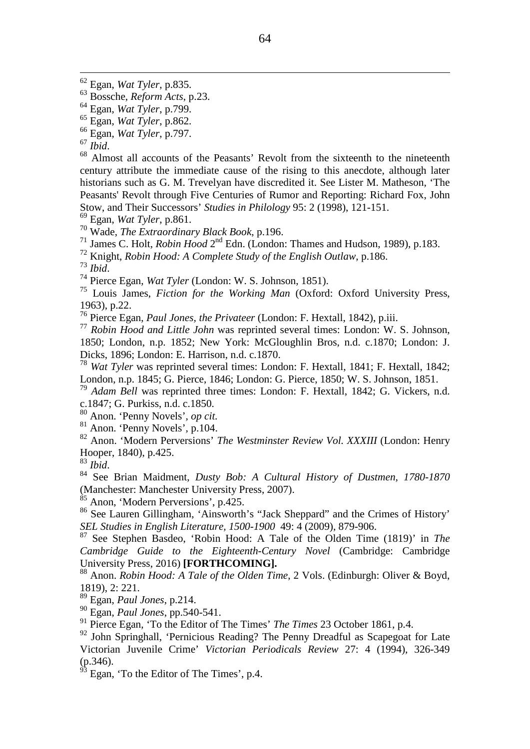<sup>66</sup> Egan, *Wat Tyler*, p.797.

<sup>68</sup> Almost all accounts of the Peasants' Revolt from the sixteenth to the nineteenth century attribute the immediate cause of the rising to this anecdote, although later historians such as G. M. Trevelyan have discredited it. See Lister M. Matheson, 'The Peasants' Revolt through Five Centuries of Rumor and Reporting: Richard Fox, John Stow, and Their Successors' *Studies in Philology* 95: 2 (1998), 121-151.

<sup>69</sup> Egan, *Wat Tyler*, p.861.

<span id="page-16-0"></span><sup>70</sup> Wade, *The Extraordinary Black Book*, p.196.

<sup>71</sup> James C. Holt, *Robin Hood* 2<sup>nd</sup> Edn. (London: Thames and Hudson, 1989), p.183.

<span id="page-16-1"></span><sup>72</sup> Knight, *Robin Hood: A Complete Study of the English Outlaw*, p.186.

<span id="page-16-2"></span><sup>73</sup> *Ibid*. <sup>74</sup> Pierce Egan, *Wat Tyler* (London: W. S. Johnson, 1851).

<sup>75</sup> Louis James, *Fiction for the Working Man* (Oxford: Oxford University Press, 1963), p.22.

<span id="page-16-3"></span><sup>76</sup> Pierce Egan, *Paul Jones, the Privateer* (London: F. Hextall, 1842), p.iii.

<span id="page-16-4"></span><sup>77</sup> *Robin Hood and Little John* was reprinted several times: London: W. S. Johnson, 1850; London, n.p. 1852; New York: McGloughlin Bros, n.d. c.1870; London: J. Dicks, 1896; London: E. Harrison, n.d. c.1870.

<span id="page-16-6"></span><span id="page-16-5"></span><sup>78</sup> *Wat Tyler* was reprinted several times: London: F. Hextall, 1841; F. Hextall, 1842; London, n.p. 1845; G. Pierce, 1846; London: G. Pierce, 1850; W. S. Johnson, 1851.

<span id="page-16-7"></span><sup>79</sup> *Adam Bell* was reprinted three times: London: F. Hextall, 1842; G. Vickers, n.d. c.1847; G. Purkiss, n.d. c.1850.

<span id="page-16-8"></span><sup>80</sup> Anon. 'Penny Novels', *op cit.*

<sup>81</sup> Anon. 'Penny Novels', p.104.

<sup>82</sup> Anon. 'Modern Perversions' *The Westminster Review Vol. XXXIII* (London: Henry Hooper, 1840), p.425.<br><sup>83</sup> Ibid.

<sup>84</sup> See Brian Maidment, *Dusty Bob: A Cultural History of Dustmen, 1780-1870* (Manchester: Manchester University Press, 2007).

 $85$  Anon, 'Modern Perversions', p.425.

<sup>86</sup> See Lauren Gillingham, 'Ainsworth's "Jack Sheppard" and the Crimes of History' *SEL Studies in English Literature, 1500-1900* 49: 4 (2009), 879-906.

<sup>87</sup> See Stephen Basdeo, 'Robin Hood: A Tale of the Olden Time (1819)' in *The Cambridge Guide to the Eighteenth-Century Novel* (Cambridge: Cambridge University Press, 2016) **[FORTHCOMING].**

<sup>88</sup> Anon. *Robin Hood: A Tale of the Olden Time*, 2 Vols. (Edinburgh: Oliver & Boyd, 1819), 2: 221.

<sup>89</sup> Egan, *Paul Jones*, p.214.

<sup>90</sup> Egan, *Paul Jones*, pp.540-541.

<sup>91</sup> Pierce Egan, 'To the Editor of The Times' *The Times* 23 October 1861, p.4.

<sup>92</sup> John Springhall, 'Pernicious Reading? The Penny Dreadful as Scapegoat for Late Victorian Juvenile Crime' *Victorian Periodicals Review* 27: 4 (1994), 326-349 (p.346).

 $93$  Egan, 'To the Editor of The Times', p.4.

 <sup>62</sup> Egan, *Wat Tyler*, p.835.

<sup>63</sup> Bossche, *Reform Acts*, p.23.

<sup>64</sup> Egan, *Wat Tyler*, p.799.

<sup>65</sup> Egan, *Wat Tyler*, p.862.